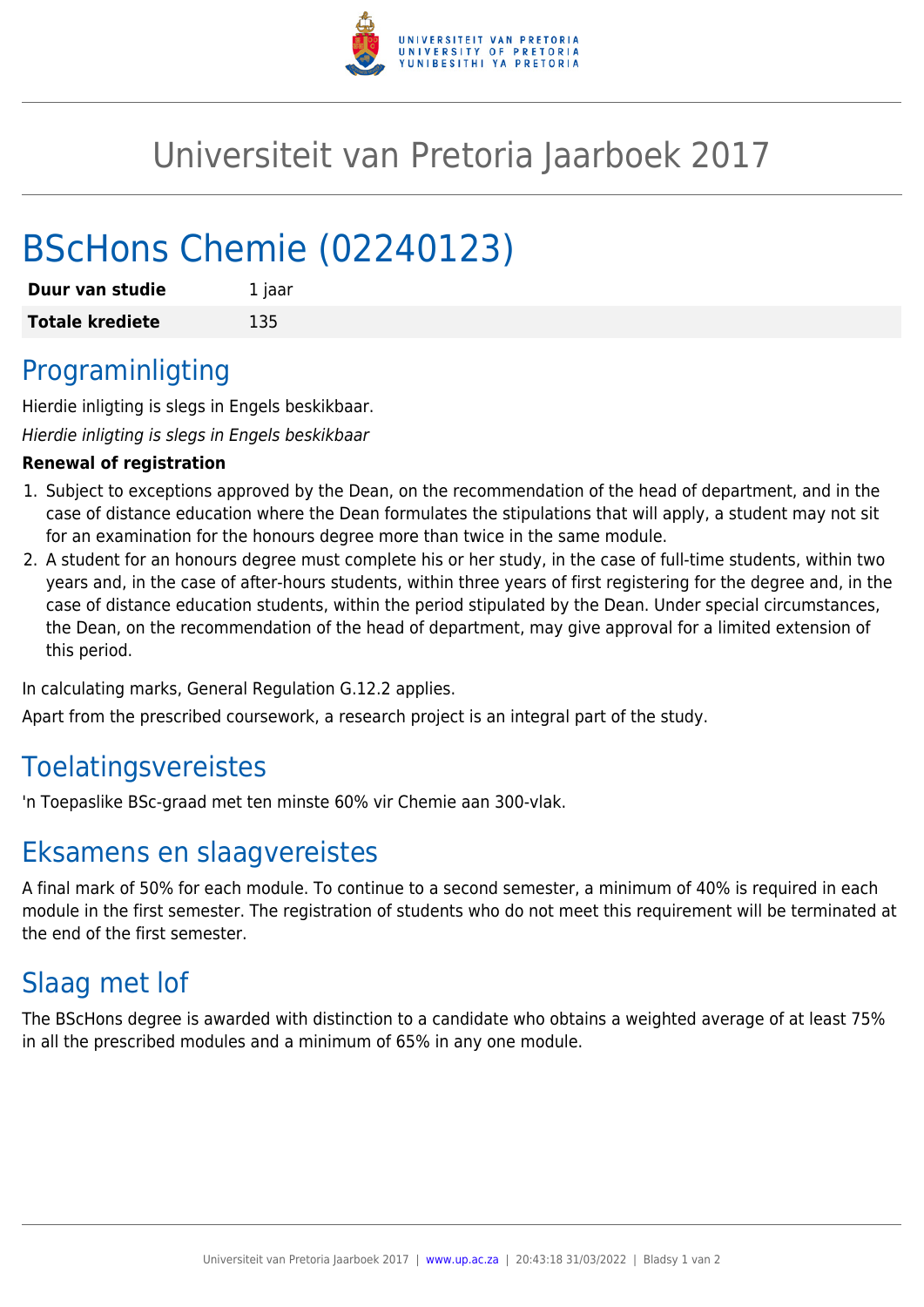

# Universiteit van Pretoria Jaarboek 2017

# BScHons Chemie (02240123)

| Duur van studie        | 1 jaar |
|------------------------|--------|
| <b>Totale krediete</b> | 135    |

## Programinligting

Hierdie inligting is slegs in Engels beskikbaar.

Hierdie inligting is slegs in Engels beskikbaar

#### **Renewal of registration**

- 1. Subject to exceptions approved by the Dean, on the recommendation of the head of department, and in the case of distance education where the Dean formulates the stipulations that will apply, a student may not sit for an examination for the honours degree more than twice in the same module.
- 2. A student for an honours degree must complete his or her study, in the case of full-time students, within two years and, in the case of after-hours students, within three years of first registering for the degree and, in the case of distance education students, within the period stipulated by the Dean. Under special circumstances, the Dean, on the recommendation of the head of department, may give approval for a limited extension of this period.

In calculating marks, General Regulation G.12.2 applies.

Apart from the prescribed coursework, a research project is an integral part of the study.

## Toelatingsvereistes

'n Toepaslike BSc-graad met ten minste 60% vir Chemie aan 300-vlak.

## Eksamens en slaagvereistes

A final mark of 50% for each module. To continue to a second semester, a minimum of 40% is required in each module in the first semester. The registration of students who do not meet this requirement will be terminated at the end of the first semester.

# Slaag met lof

The BScHons degree is awarded with distinction to a candidate who obtains a weighted average of at least 75% in all the prescribed modules and a minimum of 65% in any one module.